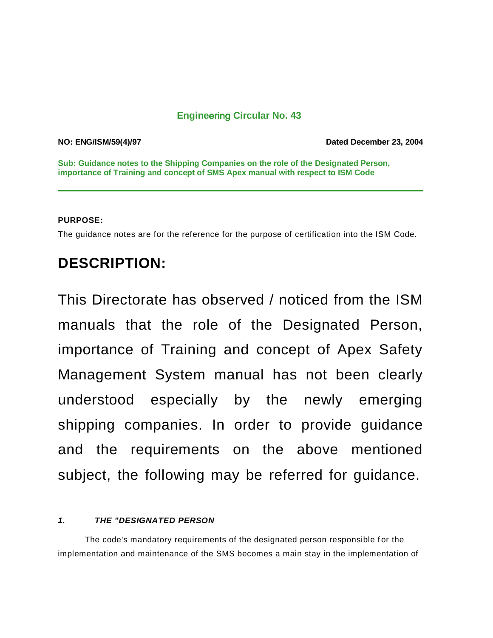## **Engine**ering **Circular No. 43**

**NO: ENG/ISM/59(4)/97 Dated December 23, 2004**

**Sub: Guidance notes to the Shipping Companies on the role of the Designated Person, importance of Training and concept of SMS Apex manual with respect to ISM Code**

#### **PURPOSE:**

The guidance notes are for the reference for the purpose of certification into the ISM Code.

# **DESCRIPTION:**

This Directorate has observed / noticed from the ISM manuals that the role of the Designated Person, importance of Training and concept of Apex Safety Management System manual has not been clearly understood especially by the newly emerging shipping companies. In order to provide guidance and the requirements on the above mentioned subject, the following may be referred for guidance.

### *1. THE "DESIGNATED PERSON*

The code's mandatory requirements of the designated person responsible for the implementation and maintenance of the SMS becomes a main stay in the implementation of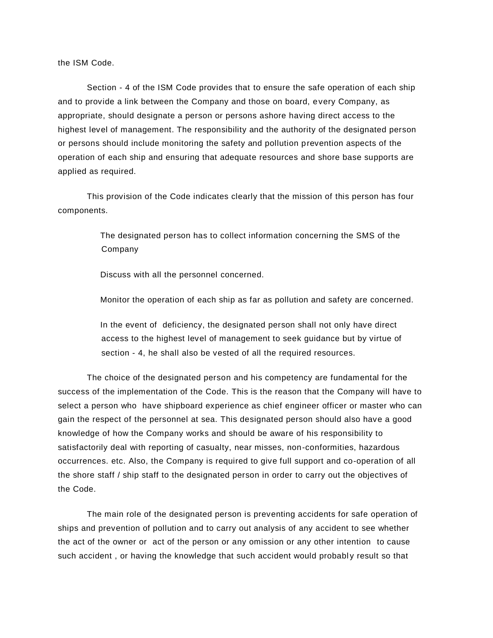the ISM Code.

Section - 4 of the ISM Code provides that to ensure the safe operation of each ship and to provide a link between the Company and those on board, every Company, as appropriate, should designate a person or persons ashore having direct access to the highest level of management. The responsibility and the authority of the designated person or persons should include monitoring the safety and pollution prevention aspects of the operation of each ship and ensuring that adequate resources and shore base supports are applied as required.

This provision of the Code indicates clearly that the mission of this person has four components.

> The designated person has to collect information concerning the SMS of the Company

Discuss with all the personnel concerned.

Monitor the operation of each ship as far as pollution and safety are concerned.

 In the event of deficiency, the designated person shall not only have direct access to the highest level of management to seek guidance but by virtue of section - 4, he shall also be vested of all the required resources.

The choice of the designated person and his competency are fundamental for the success of the implementation of the Code. This is the reason that the Company will have to select a person who have shipboard experience as chief engineer officer or master who can gain the respect of the personnel at sea. This designated person should also have a good knowledge of how the Company works and should be aware of his responsibility to satisfactorily deal with reporting of casualty, near misses, non-conformities, hazardous occurrences. etc. Also, the Company is required to give full support and co-operation of all the shore staff / ship staff to the designated person in order to carry out the objectives of the Code.

The main role of the designated person is preventing accidents for safe operation of ships and prevention of pollution and to carry out analysis of any accident to see whether the act of the owner or act of the person or any omission or any other intention to cause such accident, or having the knowledge that such accident would probably result so that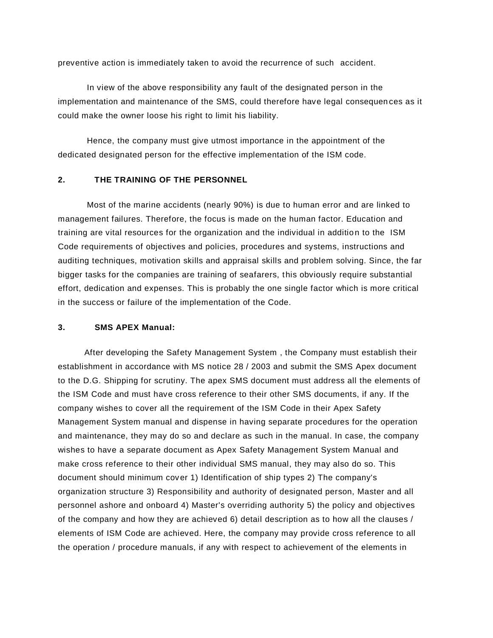preventive action is immediately taken to avoid the recurrence of such accident.

In view of the above responsibility any fault of the designated person in the implementation and maintenance of the SMS, could therefore have legal consequen ces as it could make the owner loose his right to limit his liability.

Hence, the company must give utmost importance in the appointment of the dedicated designated person for the effective implementation of the ISM code.

#### **2. THE TRAINING OF THE PERSONNEL**

Most of the marine accidents (nearly 90%) is due to human error and are linked to management failures. Therefore, the focus is made on the human factor. Education and training are vital resources for the organization and the individual in addition to the ISM Code requirements of objectives and policies, procedures and systems, instructions and auditing techniques, motivation skills and appraisal skills and problem solving. Since, the far bigger tasks for the companies are training of seafarers, this obviously require substantial effort, dedication and expenses. This is probably the one single factor which is more critical in the success or failure of the implementation of the Code.

#### **3. SMS APEX Manual:**

 After developing the Safety Management System , the Company must establish their establishment in accordance with MS notice 28 / 2003 and submit the SMS Apex document to the D.G. Shipping for scrutiny. The apex SMS document must address all the elements of the ISM Code and must have cross reference to their other SMS documents, if any. If the company wishes to cover all the requirement of the ISM Code in their Apex Safety Management System manual and dispense in having separate procedures for the operation and maintenance, they may do so and declare as such in the manual. In case, the company wishes to have a separate document as Apex Safety Management System Manual and make cross reference to their other individual SMS manual, they may also do so. This document should minimum cover 1) Identification of ship types 2) The company's organization structure 3) Responsibility and authority of designated person, Master and all personnel ashore and onboard 4) Master's overriding authority 5) the policy and objectives of the company and how they are achieved 6) detail description as to how all the clauses / elements of ISM Code are achieved. Here, the company may provide cross reference to all the operation / procedure manuals, if any with respect to achievement of the elements in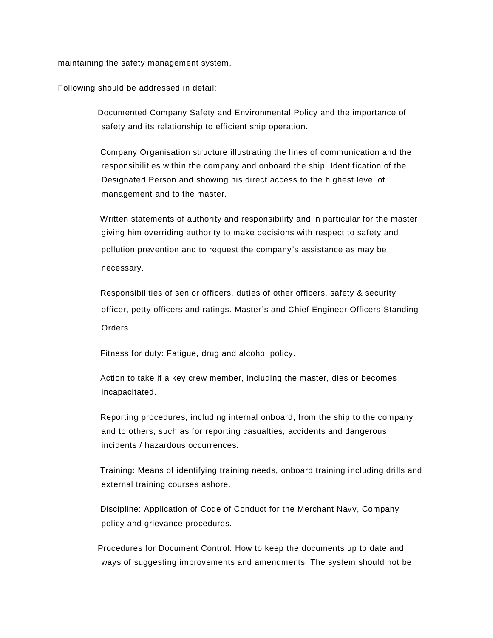maintaining the safety management system.

Following should be addressed in detail:

 Documented Company Safety and Environmental Policy and the importance of safety and its relationship to efficient ship operation.

 Company Organisation structure illustrating the lines of communication and the responsibilities within the company and onboard the ship. Identification of the Designated Person and showing his direct access to the highest level of management and to the master.

 Written statements of authority and responsibility and in particular for the master giving him overriding authority to make decisions with respect to safety and pollution prevention and to request the company's assistance as may be necessary.

 Responsibilities of senior officers, duties of other officers, safety & security officer, petty officers and ratings. Master's and Chief Engineer Officers Standing Orders.

Fitness for duty: Fatigue, drug and alcohol policy.

 Action to take if a key crew member, including the master, dies or becomes incapacitated.

 Reporting procedures, including internal onboard, from the ship to the company and to others, such as for reporting casualties, accidents and dangerous incidents / hazardous occurrences.

 Training: Means of identifying training needs, onboard training including drills and external training courses ashore.

 Discipline: Application of Code of Conduct for the Merchant Navy, Company policy and grievance procedures.

 Procedures for Document Control: How to keep the documents up to date and ways of suggesting improvements and amendments. The system should not be